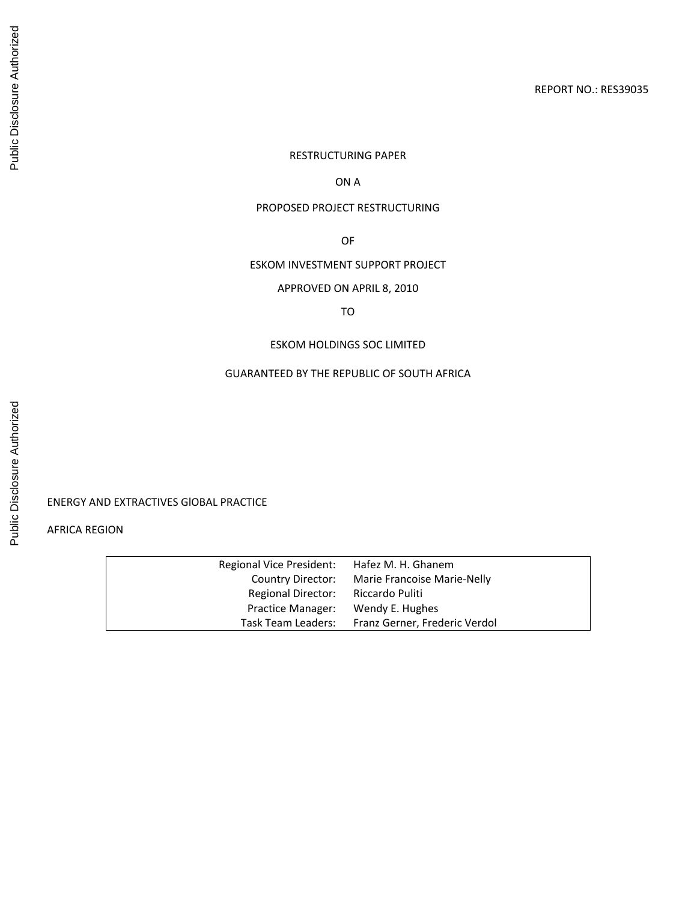#### RESTRUCTURING PAPER

#### ON A

### PROPOSED PROJECT RESTRUCTURING

## OF

#### ESKOM INVESTMENT SUPPORT PROJECT

### APPROVED ON APRIL 8, 2010

### TO

#### ESKOM HOLDINGS SOC LIMITED

#### GUARANTEED BY THE REPUBLIC OF SOUTH AFRICA

## ENERGY AND EXTRACTIVES GlOBAL PRACTICE

### AFRICA REGION

| Regional Vice President:  | Hafez M. H. Ghanem            |
|---------------------------|-------------------------------|
| Country Director:         | Marie Francoise Marie-Nelly   |
| <b>Regional Director:</b> | Riccardo Puliti               |
| Practice Manager:         | Wendy E. Hughes               |
| Task Team Leaders:        | Franz Gerner, Frederic Verdol |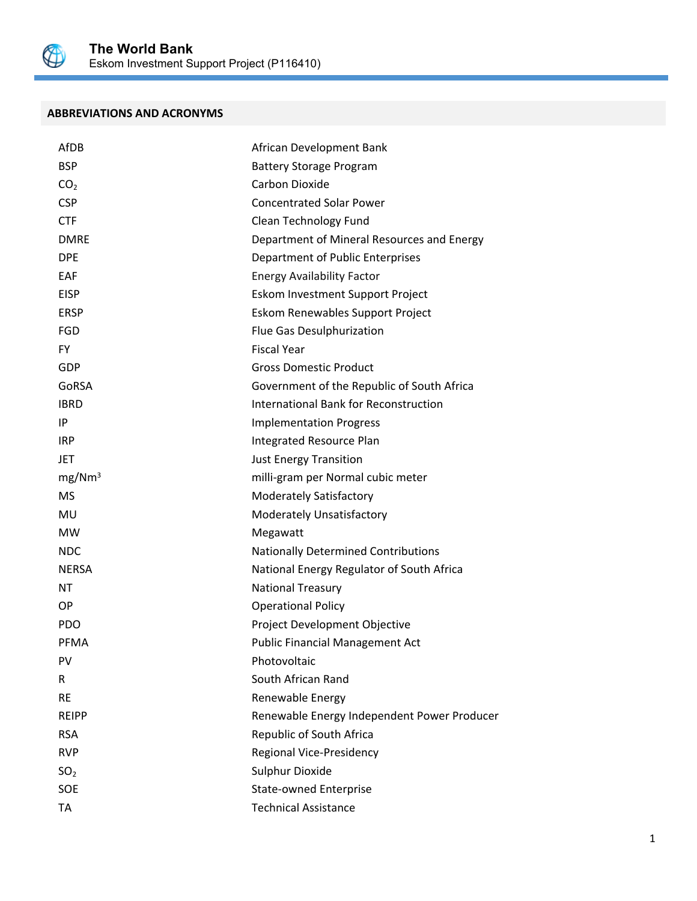

# **ABBREVIATIONS AND ACRONYMS**

| <b>AfDB</b>        | African Development Bank                    |
|--------------------|---------------------------------------------|
| <b>BSP</b>         | <b>Battery Storage Program</b>              |
| CO <sub>2</sub>    | Carbon Dioxide                              |
| <b>CSP</b>         | <b>Concentrated Solar Power</b>             |
| <b>CTF</b>         | Clean Technology Fund                       |
| <b>DMRE</b>        | Department of Mineral Resources and Energy  |
| <b>DPE</b>         | Department of Public Enterprises            |
| EAF                | <b>Energy Availability Factor</b>           |
| <b>EISP</b>        | Eskom Investment Support Project            |
| <b>ERSP</b>        | Eskom Renewables Support Project            |
| <b>FGD</b>         | Flue Gas Desulphurization                   |
| FY.                | <b>Fiscal Year</b>                          |
| GDP                | <b>Gross Domestic Product</b>               |
| GoRSA              | Government of the Republic of South Africa  |
| <b>IBRD</b>        | International Bank for Reconstruction       |
| IP                 | <b>Implementation Progress</b>              |
| <b>IRP</b>         | Integrated Resource Plan                    |
| <b>JET</b>         | <b>Just Energy Transition</b>               |
| mg/Nm <sup>3</sup> | milli-gram per Normal cubic meter           |
| <b>MS</b>          | <b>Moderately Satisfactory</b>              |
| MU                 | Moderately Unsatisfactory                   |
| <b>MW</b>          | Megawatt                                    |
| <b>NDC</b>         | <b>Nationally Determined Contributions</b>  |
| <b>NERSA</b>       | National Energy Regulator of South Africa   |
| NT                 | <b>National Treasury</b>                    |
| ОP                 | <b>Operational Policy</b>                   |
| <b>PDO</b>         | Project Development Objective               |
| PFMA               | <b>Public Financial Management Act</b>      |
| PV                 | Photovoltaic                                |
| R                  | South African Rand                          |
| <b>RE</b>          | Renewable Energy                            |
| <b>REIPP</b>       | Renewable Energy Independent Power Producer |
| <b>RSA</b>         | Republic of South Africa                    |
| <b>RVP</b>         | <b>Regional Vice-Presidency</b>             |
| SO <sub>2</sub>    | Sulphur Dioxide                             |
| SOE                | <b>State-owned Enterprise</b>               |
| TA                 | <b>Technical Assistance</b>                 |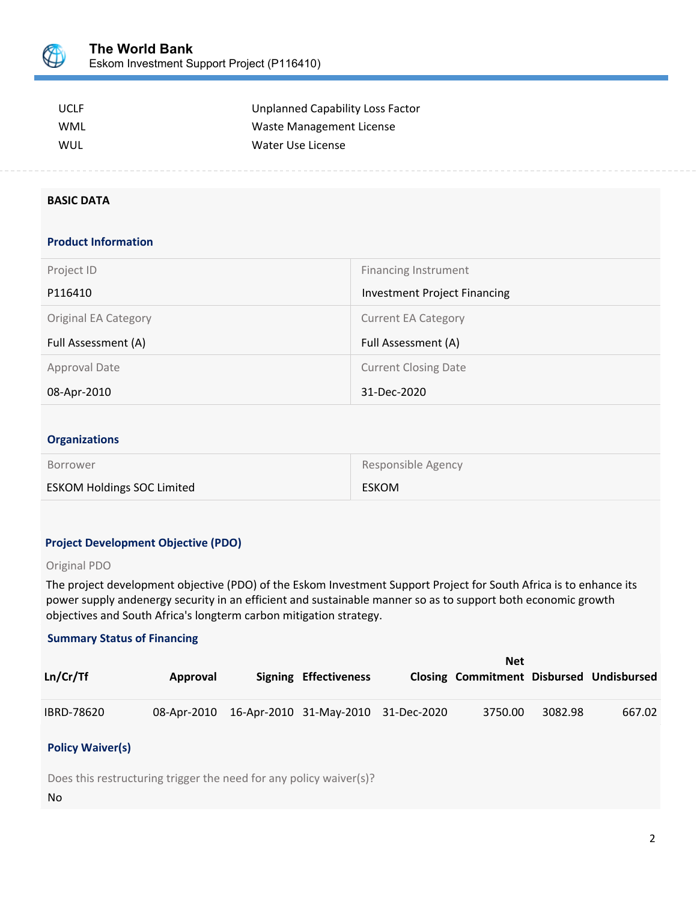

| <b>UCLF</b> | Unplanned Capability Loss Factor |
|-------------|----------------------------------|
| WML         | Waste Management License         |
| WUL         | Water Use License                |

# **BASIC DATA**

### **Product Information**

| Project ID                  | <b>Financing Instrument</b>         |
|-----------------------------|-------------------------------------|
| P116410                     | <b>Investment Project Financing</b> |
| <b>Original EA Category</b> | <b>Current EA Category</b>          |
| Full Assessment (A)         | Full Assessment (A)                 |
| <b>Approval Date</b>        | <b>Current Closing Date</b>         |
| 08-Apr-2010                 | 31-Dec-2020                         |

## **Organizations**

| Borrower                          | Responsible Agency |
|-----------------------------------|--------------------|
| <b>ESKOM Holdings SOC Limited</b> | <b>ESKOM</b>       |

## **Project Development Objective (PDO)**

#### Original PDO

The project development objective (PDO) of the Eskom Investment Support Project for South Africa is to enhance its power supply andenergy security in an efficient and sustainable manner so as to support both economic growth objectives and South Africa's longterm carbon mitigation strategy.

## **Summary Status of Financing**

|            |          |                                                 | <b>Net</b>                               |         |        |
|------------|----------|-------------------------------------------------|------------------------------------------|---------|--------|
| Ln/Cr/Tf   | Approval | <b>Signing Effectiveness</b>                    | Closing Commitment Disbursed Undisbursed |         |        |
|            |          |                                                 |                                          |         |        |
| IBRD-78620 |          | 08-Apr-2010 16-Apr-2010 31-May-2010 31-Dec-2020 | 3750.00                                  | 3082.98 | 667.02 |

### **Policy Waiver(s)**

Does this restructuring trigger the need for any policy waiver(s)?

### No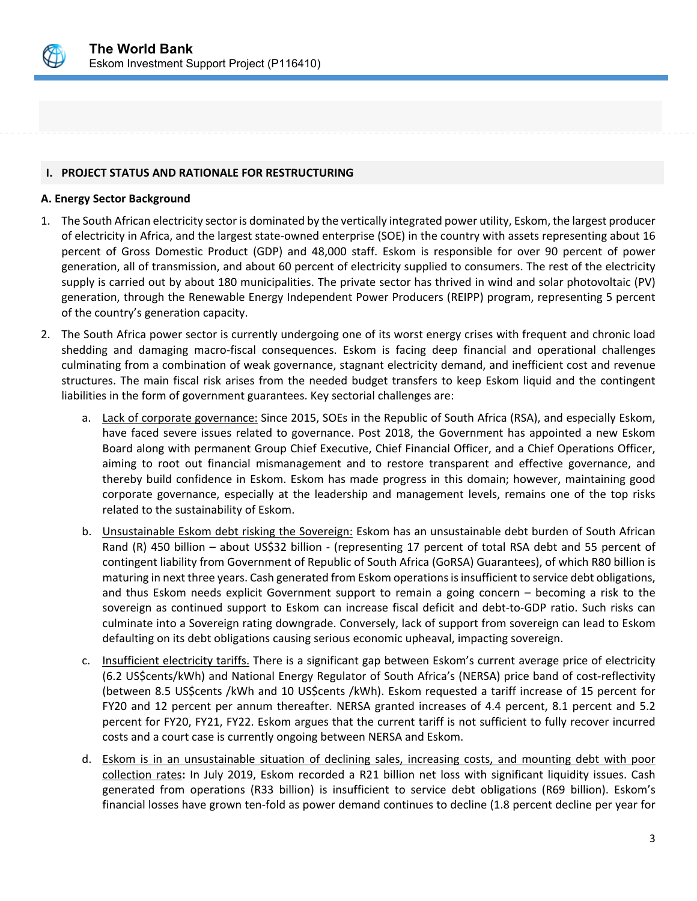

### **I. PROJECT STATUS AND RATIONALE FOR RESTRUCTURING**

#### **A. Energy Sector Background**

- 1. The South African electricity sector is dominated by the vertically integrated power utility, Eskom, the largest producer of electricity in Africa, and the largest state-owned enterprise (SOE) in the country with assets representing about 16 percent of Gross Domestic Product (GDP) and 48,000 staff. Eskom is responsible for over 90 percent of power generation, all of transmission, and about 60 percent of electricity supplied to consumers. The rest of the electricity supply is carried out by about 180 municipalities. The private sector has thrived in wind and solar photovoltaic (PV) generation, through the Renewable Energy Independent Power Producers (REIPP) program, representing 5 percent of the country's generation capacity.
- 2. The South Africa power sector is currently undergoing one of its worst energy crises with frequent and chronic load shedding and damaging macro-fiscal consequences. Eskom is facing deep financial and operational challenges culminating from a combination of weak governance, stagnant electricity demand, and inefficient cost and revenue structures. The main fiscal risk arises from the needed budget transfers to keep Eskom liquid and the contingent liabilities in the form of government guarantees. Key sectorial challenges are:
	- a. Lack of corporate governance: Since 2015, SOEs in the Republic of South Africa (RSA), and especially Eskom, have faced severe issues related to governance. Post 2018, the Government has appointed a new Eskom Board along with permanent Group Chief Executive, Chief Financial Officer, and a Chief Operations Officer, aiming to root out financial mismanagement and to restore transparent and effective governance, and thereby build confidence in Eskom. Eskom has made progress in this domain; however, maintaining good corporate governance, especially at the leadership and management levels, remains one of the top risks related to the sustainability of Eskom.
	- b. Unsustainable Eskom debt risking the Sovereign: Eskom has an unsustainable debt burden of South African Rand (R) 450 billion – about US\$32 billion - (representing 17 percent of total RSA debt and 55 percent of contingent liability from Government of Republic of South Africa (GoRSA) Guarantees), of which R80 billion is maturing in next three years. Cash generated from Eskom operations is insufficient to service debt obligations, and thus Eskom needs explicit Government support to remain a going concern – becoming a risk to the sovereign as continued support to Eskom can increase fiscal deficit and debt-to-GDP ratio. Such risks can culminate into a Sovereign rating downgrade. Conversely, lack of support from sovereign can lead to Eskom defaulting on its debt obligations causing serious economic upheaval, impacting sovereign.
	- c. Insufficient electricity tariffs. There is a significant gap between Eskom's current average price of electricity (6.2 US\$cents/kWh) and National Energy Regulator of South Africa's (NERSA) price band of cost-reflectivity (between 8.5 US\$cents /kWh and 10 US\$cents /kWh). Eskom requested a tariff increase of 15 percent for FY20 and 12 percent per annum thereafter. NERSA granted increases of 4.4 percent, 8.1 percent and 5.2 percent for FY20, FY21, FY22. Eskom argues that the current tariff is not sufficient to fully recover incurred costs and a court case is currently ongoing between NERSA and Eskom.
	- d. Eskom is in an unsustainable situation of declining sales, increasing costs, and mounting debt with poor collection rates**:** In July 2019, Eskom recorded a R21 billion net loss with significant liquidity issues. Cash generated from operations (R33 billion) is insufficient to service debt obligations (R69 billion). Eskom's financial losses have grown ten-fold as power demand continues to decline (1.8 percent decline per year for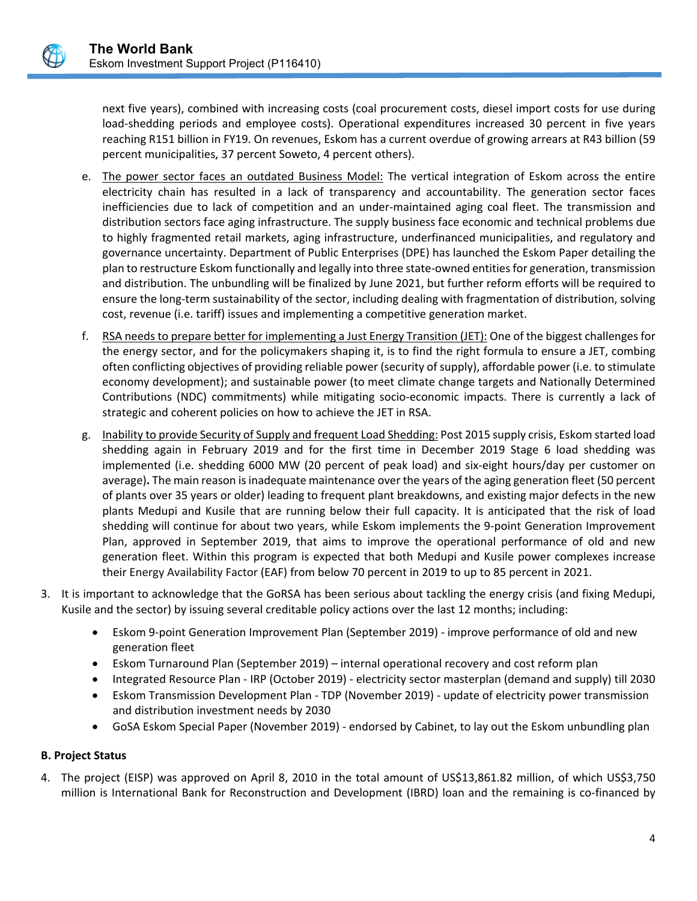

next five years), combined with increasing costs (coal procurement costs, diesel import costs for use during load-shedding periods and employee costs). Operational expenditures increased 30 percent in five years reaching R151 billion in FY19. On revenues, Eskom has a current overdue of growing arrears at R43 billion (59 percent municipalities, 37 percent Soweto, 4 percent others).

- e. The power sector faces an outdated Business Model: The vertical integration of Eskom across the entire electricity chain has resulted in a lack of transparency and accountability. The generation sector faces inefficiencies due to lack of competition and an under-maintained aging coal fleet. The transmission and distribution sectors face aging infrastructure. The supply business face economic and technical problems due to highly fragmented retail markets, aging infrastructure, underfinanced municipalities, and regulatory and governance uncertainty. Department of Public Enterprises (DPE) has launched the Eskom Paper detailing the plan to restructure Eskom functionally and legally into three state-owned entities for generation, transmission and distribution. The unbundling will be finalized by June 2021, but further reform efforts will be required to ensure the long-term sustainability of the sector, including dealing with fragmentation of distribution, solving cost, revenue (i.e. tariff) issues and implementing a competitive generation market.
- f. RSA needs to prepare better for implementing a Just Energy Transition (JET): One of the biggest challenges for the energy sector, and for the policymakers shaping it, is to find the right formula to ensure a JET, combing often conflicting objectives of providing reliable power (security of supply), affordable power (i.e. to stimulate economy development); and sustainable power (to meet climate change targets and Nationally Determined Contributions (NDC) commitments) while mitigating socio-economic impacts. There is currently a lack of strategic and coherent policies on how to achieve the JET in RSA.
- g. Inability to provide Security of Supply and frequent Load Shedding: Post 2015 supply crisis, Eskom started load shedding again in February 2019 and for the first time in December 2019 Stage 6 load shedding was implemented (i.e. shedding 6000 MW (20 percent of peak load) and six-eight hours/day per customer on average)**.** The main reason is inadequate maintenance over the years of the aging generation fleet (50 percent of plants over 35 years or older) leading to frequent plant breakdowns, and existing major defects in the new plants Medupi and Kusile that are running below their full capacity. It is anticipated that the risk of load shedding will continue for about two years, while Eskom implements the 9-point Generation Improvement Plan, approved in September 2019, that aims to improve the operational performance of old and new generation fleet. Within this program is expected that both Medupi and Kusile power complexes increase their Energy Availability Factor (EAF) from below 70 percent in 2019 to up to 85 percent in 2021.
- 3. It is important to acknowledge that the GoRSA has been serious about tackling the energy crisis (and fixing Medupi, Kusile and the sector) by issuing several creditable policy actions over the last 12 months; including:
	- Eskom 9-point Generation Improvement Plan (September 2019) improve performance of old and new generation fleet
	- Eskom Turnaround Plan (September 2019) internal operational recovery and cost reform plan
	- Integrated Resource Plan IRP (October 2019) electricity sector masterplan (demand and supply) till 2030
	- Eskom Transmission Development Plan TDP (November 2019) update of electricity power transmission and distribution investment needs by 2030
	- GoSA Eskom Special Paper (November 2019) endorsed by Cabinet, to lay out the Eskom unbundling plan

# **B. Project Status**

4. The project (EISP) was approved on April 8, 2010 in the total amount of US\$13,861.82 million, of which US\$3,750 million is International Bank for Reconstruction and Development (IBRD) loan and the remaining is co-financed by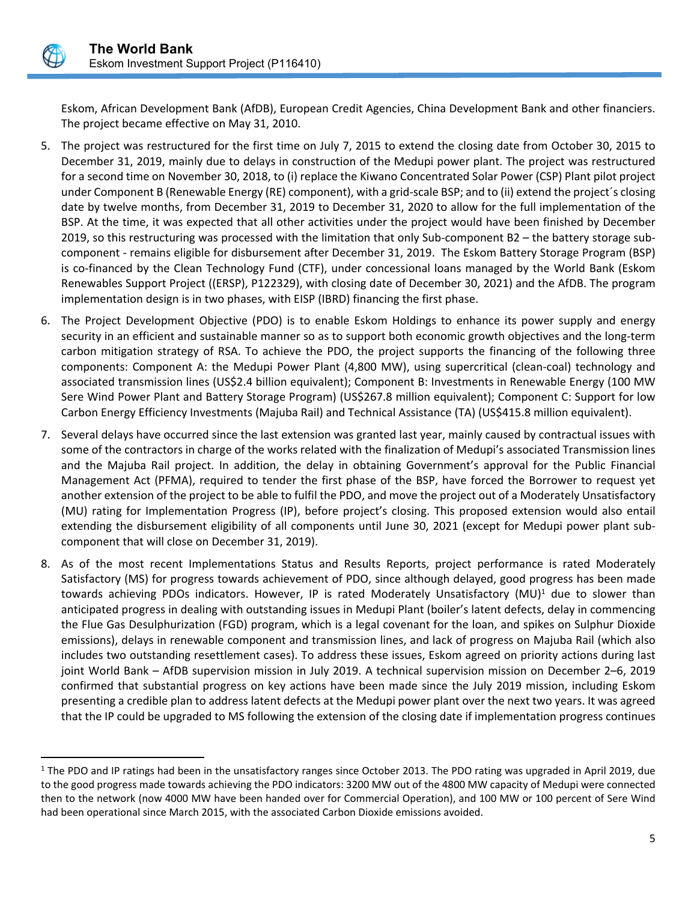

Eskom, African Development Bank (AfDB), European Credit Agencies, China Development Bank and other financiers. The project became effective on May 31, 2010.

- 5. The project was restructured for the first time on July 7, 2015 to extend the closing date from October 30, 2015 to December 31, 2019, mainly due to delays in construction of the Medupi power plant. The project was restructured for a second time on November 30, 2018, to (i) replace the Kiwano Concentrated Solar Power (CSP) Plant pilot project under Component B (Renewable Energy (RE) component), with a grid-scale BSP; and to (ii) extend the project´s closing date by twelve months, from December 31, 2019 to December 31, 2020 to allow for the full implementation of the BSP. At the time, it was expected that all other activities under the project would have been finished by December 2019, so this restructuring was processed with the limitation that only Sub-component B2 – the battery storage subcomponent - remains eligible for disbursement after December 31, 2019. The Eskom Battery Storage Program (BSP) is co-financed by the Clean Technology Fund (CTF), under concessional loans managed by the World Bank (Eskom Renewables Support Project ((ERSP), P122329), with closing date of December 30, 2021) and the AfDB. The program implementation design is in two phases, with EISP (IBRD) financing the first phase.
- 6. The Project Development Objective (PDO) is to enable Eskom Holdings to enhance its power supply and energy security in an efficient and sustainable manner so as to support both economic growth objectives and the long-term carbon mitigation strategy of RSA. To achieve the PDO, the project supports the financing of the following three components: Component A: the Medupi Power Plant (4,800 MW), using supercritical (clean-coal) technology and associated transmission lines (US\$2.4 billion equivalent); Component B: Investments in Renewable Energy (100 MW Sere Wind Power Plant and Battery Storage Program) (US\$267.8 million equivalent); Component C: Support for low Carbon Energy Efficiency Investments (Majuba Rail) and Technical Assistance (TA) (US\$415.8 million equivalent).
- 7. Several delays have occurred since the last extension was granted last year, mainly caused by contractual issues with some of the contractors in charge of the works related with the finalization of Medupi's associated Transmission lines and the Majuba Rail project. In addition, the delay in obtaining Government's approval for the Public Financial Management Act (PFMA), required to tender the first phase of the BSP, have forced the Borrower to request yet another extension of the project to be able to fulfil the PDO, and move the project out of a Moderately Unsatisfactory (MU) rating for Implementation Progress (IP), before project's closing. This proposed extension would also entail extending the disbursement eligibility of all components until June 30, 2021 (except for Medupi power plant subcomponent that will close on December 31, 2019).
- 8. As of the most recent Implementations Status and Results Reports, project performance is rated Moderately Satisfactory (MS) for progress towards achievement of PDO, since although delayed, good progress has been made towards achieving PDOs indicators. However, IP is rated Moderately Unsatisfactory (MU)<sup>1</sup> due to slower than anticipated progress in dealing with outstanding issues in Medupi Plant (boiler's latent defects, delay in commencing the Flue Gas Desulphurization (FGD) program, which is a legal covenant for the loan, and spikes on Sulphur Dioxide emissions), delays in renewable component and transmission lines, and lack of progress on Majuba Rail (which also includes two outstanding resettlement cases). To address these issues, Eskom agreed on priority actions during last joint World Bank – AfDB supervision mission in July 2019. A technical supervision mission on December 2–6, 2019 confirmed that substantial progress on key actions have been made since the July 2019 mission, including Eskom presenting a credible plan to address latent defects at the Medupi power plant over the next two years. It was agreed that the IP could be upgraded to MS following the extension of the closing date if implementation progress continues

<sup>&</sup>lt;sup>1</sup> The PDO and IP ratings had been in the unsatisfactory ranges since October 2013. The PDO rating was upgraded in April 2019, due to the good progress made towards achieving the PDO indicators: 3200 MW out of the 4800 MW capacity of Medupi were connected then to the network (now 4000 MW have been handed over for Commercial Operation), and 100 MW or 100 percent of Sere Wind had been operational since March 2015, with the associated Carbon Dioxide emissions avoided.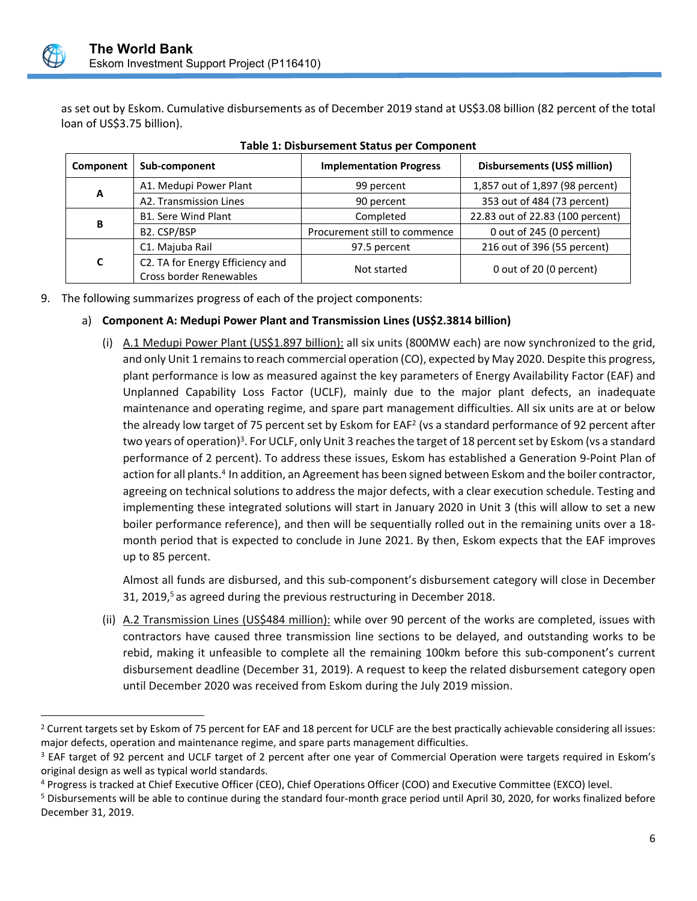

as set out by Eskom. Cumulative disbursements as of December 2019 stand at US\$3.08 billion (82 percent of the total loan of US\$3.75 billion).

| Component | Sub-component                                                      | <b>Implementation Progress</b> | Disbursements (US\$ million)     |
|-----------|--------------------------------------------------------------------|--------------------------------|----------------------------------|
|           | A1. Medupi Power Plant                                             | 99 percent                     | 1,857 out of 1,897 (98 percent)  |
| A         | A2. Transmission Lines                                             | 90 percent                     | 353 out of 484 (73 percent)      |
|           | <b>B1. Sere Wind Plant</b>                                         | Completed                      | 22.83 out of 22.83 (100 percent) |
| В         | B2. CSP/BSP                                                        | Procurement still to commence  | 0 out of 245 (0 percent)         |
|           | C1. Majuba Rail                                                    | 97.5 percent                   | 216 out of 396 (55 percent)      |
| C         | C2. TA for Energy Efficiency and<br><b>Cross border Renewables</b> | Not started                    | 0 out of 20 (0 percent)          |

| Table 1: Disbursement Status per Component |  |
|--------------------------------------------|--|
|--------------------------------------------|--|

9. The following summarizes progress of each of the project components:

# a) **Component A: Medupi Power Plant and Transmission Lines (US\$2.3814 billion)**

(i) A.1 Medupi Power Plant (US\$1.897 billion): all six units (800MW each) are now synchronized to the grid, and only Unit 1 remains to reach commercial operation (CO), expected by May 2020. Despite this progress, plant performance is low as measured against the key parameters of Energy Availability Factor (EAF) and Unplanned Capability Loss Factor (UCLF), mainly due to the major plant defects, an inadequate maintenance and operating regime, and spare part management difficulties. All six units are at or below the already low target of 75 percent set by Eskom for EAF<sup>2</sup> (vs a standard performance of 92 percent after two years of operation)<sup>3</sup>. For UCLF, only Unit 3 reaches the target of 18 percent set by Eskom (vs a standard performance of 2 percent). To address these issues, Eskom has established a Generation 9-Point Plan of action for all plants.<sup>4</sup> In addition, an Agreement has been signed between Eskom and the boiler contractor, agreeing on technical solutions to address the major defects, with a clear execution schedule. Testing and implementing these integrated solutions will start in January 2020 in Unit 3 (this will allow to set a new boiler performance reference), and then will be sequentially rolled out in the remaining units over a 18 month period that is expected to conclude in June 2021. By then, Eskom expects that the EAF improves up to 85 percent.

Almost all funds are disbursed, and this sub-component's disbursement category will close in December 31, 2019,<sup>5</sup> as agreed during the previous restructuring in December 2018.

(ii) A.2 Transmission Lines (US\$484 million): while over 90 percent of the works are completed, issues with contractors have caused three transmission line sections to be delayed, and outstanding works to be rebid, making it unfeasible to complete all the remaining 100km before this sub-component's current disbursement deadline (December 31, 2019). A request to keep the related disbursement category open until December 2020 was received from Eskom during the July 2019 mission.

<sup>&</sup>lt;sup>2</sup> Current targets set by Eskom of 75 percent for EAF and 18 percent for UCLF are the best practically achievable considering all issues: major defects, operation and maintenance regime, and spare parts management difficulties.

<sup>&</sup>lt;sup>3</sup> EAF target of 92 percent and UCLF target of 2 percent after one year of Commercial Operation were targets required in Eskom's original design as well as typical world standards.

<sup>4</sup> Progress is tracked at Chief Executive Officer (CEO), Chief Operations Officer (COO) and Executive Committee (EXCO) level.

<sup>&</sup>lt;sup>5</sup> Disbursements will be able to continue during the standard four-month grace period until April 30, 2020, for works finalized before December 31, 2019.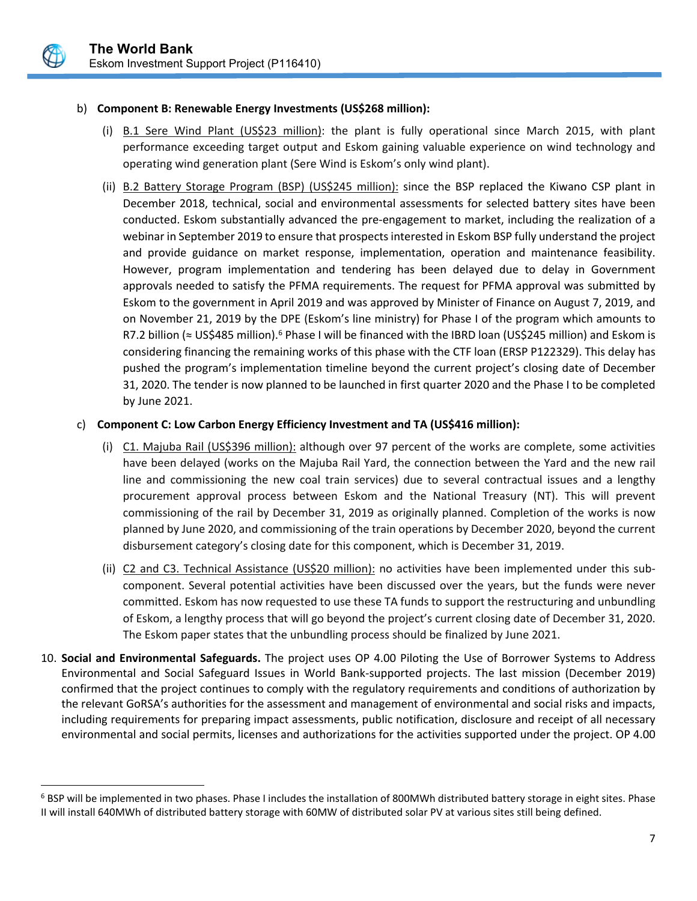

# b) **Component B: Renewable Energy Investments (US\$268 million):**

- (i) B.1 Sere Wind Plant (US\$23 million): the plant is fully operational since March 2015, with plant performance exceeding target output and Eskom gaining valuable experience on wind technology and operating wind generation plant (Sere Wind is Eskom's only wind plant).
- (ii) B.2 Battery Storage Program (BSP) (US\$245 million): since the BSP replaced the Kiwano CSP plant in December 2018, technical, social and environmental assessments for selected battery sites have been conducted. Eskom substantially advanced the pre-engagement to market, including the realization of a webinar in September 2019 to ensure that prospects interested in Eskom BSP fully understand the project and provide guidance on market response, implementation, operation and maintenance feasibility. However, program implementation and tendering has been delayed due to delay in Government approvals needed to satisfy the PFMA requirements. The request for PFMA approval was submitted by Eskom to the government in April 2019 and was approved by Minister of Finance on August 7, 2019, and on November 21, 2019 by the DPE (Eskom's line ministry) for Phase I of the program which amounts to R7.2 billion (≈ US\$485 million).<sup>6</sup> Phase I will be financed with the IBRD loan (US\$245 million) and Eskom is considering financing the remaining works of this phase with the CTF loan (ERSP P122329). This delay has pushed the program's implementation timeline beyond the current project's closing date of December 31, 2020. The tender is now planned to be launched in first quarter 2020 and the Phase I to be completed by June 2021.

## c) **Component C: Low Carbon Energy Efficiency Investment and TA (US\$416 million):**

- (i) C1. Majuba Rail (US\$396 million): although over 97 percent of the works are complete, some activities have been delayed (works on the Majuba Rail Yard, the connection between the Yard and the new rail line and commissioning the new coal train services) due to several contractual issues and a lengthy procurement approval process between Eskom and the National Treasury (NT). This will prevent commissioning of the rail by December 31, 2019 as originally planned. Completion of the works is now planned by June 2020, and commissioning of the train operations by December 2020, beyond the current disbursement category's closing date for this component, which is December 31, 2019.
- (ii) C2 and C3. Technical Assistance (US\$20 million): no activities have been implemented under this subcomponent. Several potential activities have been discussed over the years, but the funds were never committed. Eskom has now requested to use these TA funds to support the restructuring and unbundling of Eskom, a lengthy process that will go beyond the project's current closing date of December 31, 2020. The Eskom paper states that the unbundling process should be finalized by June 2021.
- 10. **Social and Environmental Safeguards.** The project uses OP 4.00 Piloting the Use of Borrower Systems to Address Environmental and Social Safeguard Issues in World Bank-supported projects. The last mission (December 2019) confirmed that the project continues to comply with the regulatory requirements and conditions of authorization by the relevant GoRSA's authorities for the assessment and management of environmental and social risks and impacts, including requirements for preparing impact assessments, public notification, disclosure and receipt of all necessary environmental and social permits, licenses and authorizations for the activities supported under the project. OP 4.00

<sup>&</sup>lt;sup>6</sup> BSP will be implemented in two phases. Phase I includes the installation of 800MWh distributed battery storage in eight sites. Phase II will install 640MWh of distributed battery storage with 60MW of distributed solar PV at various sites still being defined.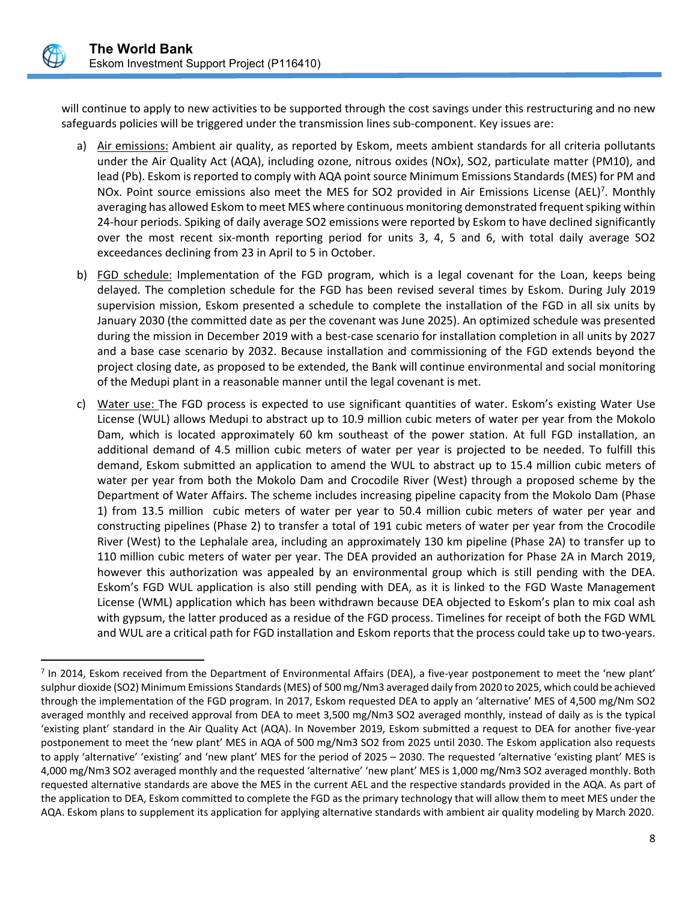

will continue to apply to new activities to be supported through the cost savings under this restructuring and no new safeguards policies will be triggered under the transmission lines sub-component. Key issues are:

- a) Air emissions: Ambient air quality, as reported by Eskom, meets ambient standards for all criteria pollutants under the Air Quality Act (AQA), including ozone, nitrous oxides (NOx), SO2, particulate matter (PM10), and lead (Pb). Eskom is reported to comply with AQA point source Minimum Emissions Standards (MES) for PM and NOx. Point source emissions also meet the MES for SO2 provided in Air Emissions License (AEL)<sup>7</sup>. Monthly averaging has allowed Eskom to meet MES where continuous monitoring demonstrated frequent spiking within 24-hour periods. Spiking of daily average SO2 emissions were reported by Eskom to have declined significantly over the most recent six-month reporting period for units 3, 4, 5 and 6, with total daily average SO2 exceedances declining from 23 in April to 5 in October.
- b) FGD schedule: Implementation of the FGD program, which is a legal covenant for the Loan, keeps being delayed. The completion schedule for the FGD has been revised several times by Eskom. During July 2019 supervision mission, Eskom presented a schedule to complete the installation of the FGD in all six units by January 2030 (the committed date as per the covenant was June 2025). An optimized schedule was presented during the mission in December 2019 with a best-case scenario for installation completion in all units by 2027 and a base case scenario by 2032. Because installation and commissioning of the FGD extends beyond the project closing date, as proposed to be extended, the Bank will continue environmental and social monitoring of the Medupi plant in a reasonable manner until the legal covenant is met.
- c) Water use: The FGD process is expected to use significant quantities of water. Eskom's existing Water Use License (WUL) allows Medupi to abstract up to 10.9 million cubic meters of water per year from the Mokolo Dam, which is located approximately 60 km southeast of the power station. At full FGD installation, an additional demand of 4.5 million cubic meters of water per year is projected to be needed. To fulfill this demand, Eskom submitted an application to amend the WUL to abstract up to 15.4 million cubic meters of water per year from both the Mokolo Dam and Crocodile River (West) through a proposed scheme by the Department of Water Affairs. The scheme includes increasing pipeline capacity from the Mokolo Dam (Phase 1) from 13.5 million cubic meters of water per year to 50.4 million cubic meters of water per year and constructing pipelines (Phase 2) to transfer a total of 191 cubic meters of water per year from the Crocodile River (West) to the Lephalale area, including an approximately 130 km pipeline (Phase 2A) to transfer up to 110 million cubic meters of water per year. The DEA provided an authorization for Phase 2A in March 2019, however this authorization was appealed by an environmental group which is still pending with the DEA. Eskom's FGD WUL application is also still pending with DEA, as it is linked to the FGD Waste Management License (WML) application which has been withdrawn because DEA objected to Eskom's plan to mix coal ash with gypsum, the latter produced as a residue of the FGD process. Timelines for receipt of both the FGD WML and WUL are a critical path for FGD installation and Eskom reports that the process could take up to two-years.

<sup>7</sup> In 2014, Eskom received from the Department of Environmental Affairs (DEA), a five-year postponement to meet the 'new plant' sulphur dioxide (SO2) Minimum Emissions Standards (MES) of 500 mg/Nm3 averaged daily from 2020 to 2025, which could be achieved through the implementation of the FGD program. In 2017, Eskom requested DEA to apply an 'alternative' MES of 4,500 mg/Nm SO2 averaged monthly and received approval from DEA to meet 3,500 mg/Nm3 SO2 averaged monthly, instead of daily as is the typical 'existing plant' standard in the Air Quality Act (AQA). In November 2019, Eskom submitted a request to DEA for another five-year postponement to meet the 'new plant' MES in AQA of 500 mg/Nm3 SO2 from 2025 until 2030. The Eskom application also requests to apply 'alternative' 'existing' and 'new plant' MES for the period of 2025 – 2030. The requested 'alternative 'existing plant' MES is 4,000 mg/Nm3 SO2 averaged monthly and the requested 'alternative' 'new plant' MES is 1,000 mg/Nm3 SO2 averaged monthly. Both requested alternative standards are above the MES in the current AEL and the respective standards provided in the AQA. As part of the application to DEA, Eskom committed to complete the FGD as the primary technology that will allow them to meet MES under the AQA. Eskom plans to supplement its application for applying alternative standards with ambient air quality modeling by March 2020.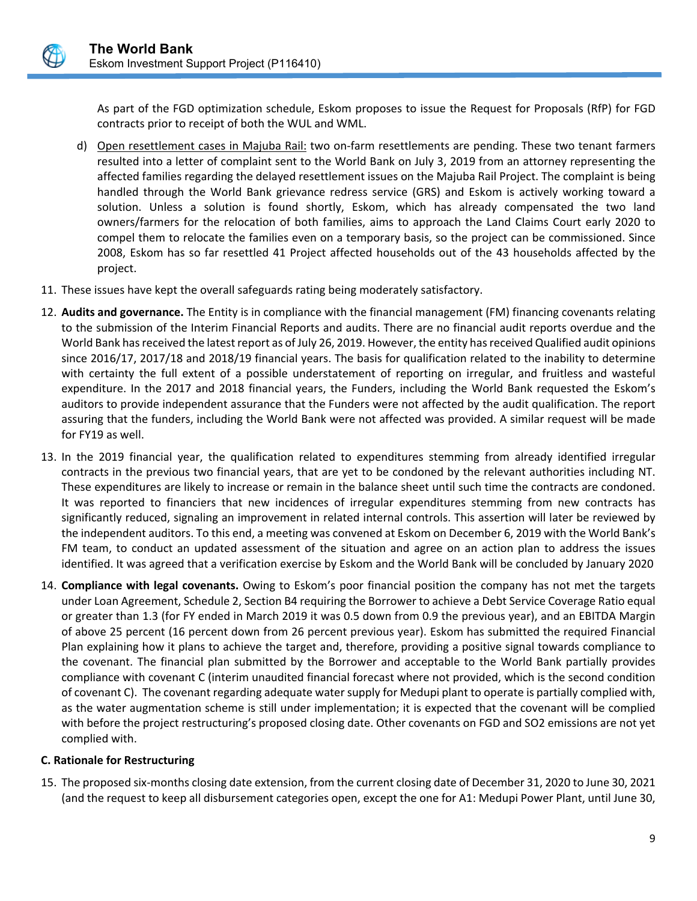

As part of the FGD optimization schedule, Eskom proposes to issue the Request for Proposals (RfP) for FGD contracts prior to receipt of both the WUL and WML.

- d) Open resettlement cases in Majuba Rail: two on-farm resettlements are pending. These two tenant farmers resulted into a letter of complaint sent to the World Bank on July 3, 2019 from an attorney representing the affected families regarding the delayed resettlement issues on the Majuba Rail Project. The complaint is being handled through the World Bank grievance redress service (GRS) and Eskom is actively working toward a solution. Unless a solution is found shortly, Eskom, which has already compensated the two land owners/farmers for the relocation of both families, aims to approach the Land Claims Court early 2020 to compel them to relocate the families even on a temporary basis, so the project can be commissioned. Since 2008, Eskom has so far resettled 41 Project affected households out of the 43 households affected by the project.
- 11. These issues have kept the overall safeguards rating being moderately satisfactory.
- 12. **Audits and governance.** The Entity is in compliance with the financial management (FM) financing covenants relating to the submission of the Interim Financial Reports and audits. There are no financial audit reports overdue and the World Bank has received the latest report as of July 26, 2019. However, the entity has received Qualified audit opinions since 2016/17, 2017/18 and 2018/19 financial years. The basis for qualification related to the inability to determine with certainty the full extent of a possible understatement of reporting on irregular, and fruitless and wasteful expenditure. In the 2017 and 2018 financial years, the Funders, including the World Bank requested the Eskom's auditors to provide independent assurance that the Funders were not affected by the audit qualification. The report assuring that the funders, including the World Bank were not affected was provided. A similar request will be made for FY19 as well.
- 13. In the 2019 financial year, the qualification related to expenditures stemming from already identified irregular contracts in the previous two financial years, that are yet to be condoned by the relevant authorities including NT. These expenditures are likely to increase or remain in the balance sheet until such time the contracts are condoned. It was reported to financiers that new incidences of irregular expenditures stemming from new contracts has significantly reduced, signaling an improvement in related internal controls. This assertion will later be reviewed by the independent auditors. To this end, a meeting was convened at Eskom on December 6, 2019 with the World Bank's FM team, to conduct an updated assessment of the situation and agree on an action plan to address the issues identified. It was agreed that a verification exercise by Eskom and the World Bank will be concluded by January 2020
- 14. **Compliance with legal covenants.** Owing to Eskom's poor financial position the company has not met the targets under Loan Agreement, Schedule 2, Section B4 requiring the Borrower to achieve a Debt Service Coverage Ratio equal or greater than 1.3 (for FY ended in March 2019 it was 0.5 down from 0.9 the previous year), and an EBITDA Margin of above 25 percent (16 percent down from 26 percent previous year). Eskom has submitted the required Financial Plan explaining how it plans to achieve the target and, therefore, providing a positive signal towards compliance to the covenant. The financial plan submitted by the Borrower and acceptable to the World Bank partially provides compliance with covenant C (interim unaudited financial forecast where not provided, which is the second condition of covenant C). The covenant regarding adequate water supply for Medupi plant to operate is partially complied with, as the water augmentation scheme is still under implementation; it is expected that the covenant will be complied with before the project restructuring's proposed closing date. Other covenants on FGD and SO2 emissions are not yet complied with.

## **C. Rationale for Restructuring**

15. The proposed six-months closing date extension, from the current closing date of December 31, 2020 to June 30, 2021 (and the request to keep all disbursement categories open, except the one for A1: Medupi Power Plant, until June 30,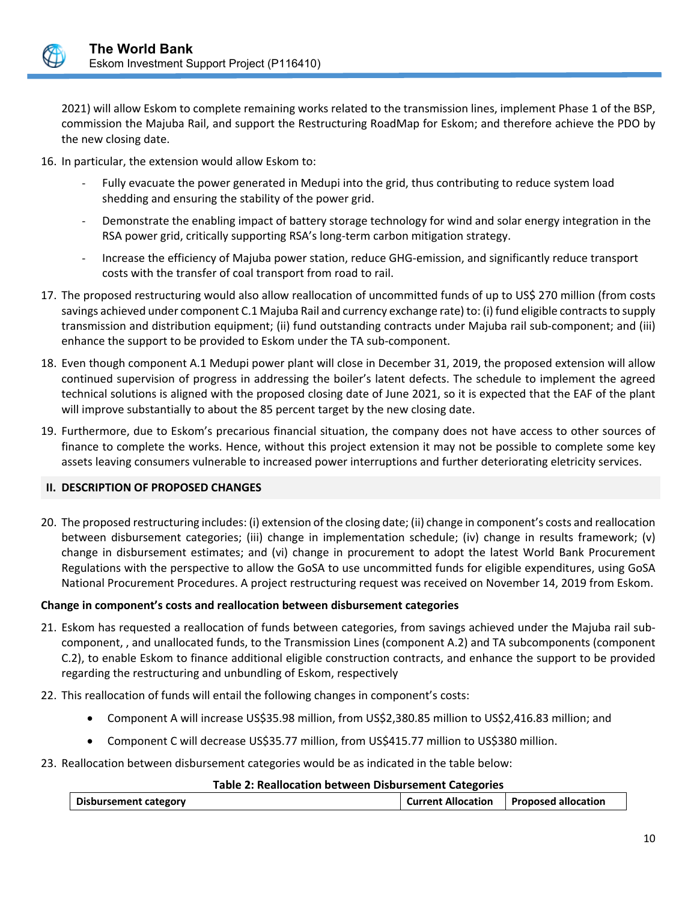

2021) will allow Eskom to complete remaining works related to the transmission lines, implement Phase 1 of the BSP, commission the Majuba Rail, and support the Restructuring RoadMap for Eskom; and therefore achieve the PDO by the new closing date.

- 16. In particular, the extension would allow Eskom to:
	- Fully evacuate the power generated in Medupi into the grid, thus contributing to reduce system load shedding and ensuring the stability of the power grid.
	- Demonstrate the enabling impact of battery storage technology for wind and solar energy integration in the RSA power grid, critically supporting RSA's long-term carbon mitigation strategy.
	- Increase the efficiency of Majuba power station, reduce GHG-emission, and significantly reduce transport costs with the transfer of coal transport from road to rail.
- 17. The proposed restructuring would also allow reallocation of uncommitted funds of up to US\$ 270 million (from costs savings achieved under component C.1 Majuba Rail and currency exchange rate) to: (i) fund eligible contracts to supply transmission and distribution equipment; (ii) fund outstanding contracts under Majuba rail sub-component; and (iii) enhance the support to be provided to Eskom under the TA sub-component.
- 18. Even though component A.1 Medupi power plant will close in December 31, 2019, the proposed extension will allow continued supervision of progress in addressing the boiler's latent defects. The schedule to implement the agreed technical solutions is aligned with the proposed closing date of June 2021, so it is expected that the EAF of the plant will improve substantially to about the 85 percent target by the new closing date.
- 19. Furthermore, due to Eskom's precarious financial situation, the company does not have access to other sources of finance to complete the works. Hence, without this project extension it may not be possible to complete some key assets leaving consumers vulnerable to increased power interruptions and further deteriorating eletricity services.

# **II. DESCRIPTION OF PROPOSED CHANGES**

20. The proposed restructuring includes: (i) extension of the closing date; (ii) change in component's costs and reallocation between disbursement categories; (iii) change in implementation schedule; (iv) change in results framework; (v) change in disbursement estimates; and (vi) change in procurement to adopt the latest World Bank Procurement Regulations with the perspective to allow the GoSA to use uncommitted funds for eligible expenditures, using GoSA National Procurement Procedures. A project restructuring request was received on November 14, 2019 from Eskom.

#### **Change in component's costs and reallocation between disbursement categories**

- 21. Eskom has requested a reallocation of funds between categories, from savings achieved under the Majuba rail subcomponent, , and unallocated funds, to the Transmission Lines (component A.2) and TA subcomponents (component C.2), to enable Eskom to finance additional eligible construction contracts, and enhance the support to be provided regarding the restructuring and unbundling of Eskom, respectively
- 22. This reallocation of funds will entail the following changes in component's costs:
	- Component A will increase US\$35.98 million, from US\$2,380.85 million to US\$2,416.83 million; and
	- Component C will decrease US\$35.77 million, from US\$415.77 million to US\$380 million.
- 23. Reallocation between disbursement categories would be as indicated in the table below:

#### **Table 2: Reallocation between Disbursement Categories**

| <b>Disbursement category</b> | Current Allocation   Proposed allocation |  |
|------------------------------|------------------------------------------|--|
|                              |                                          |  |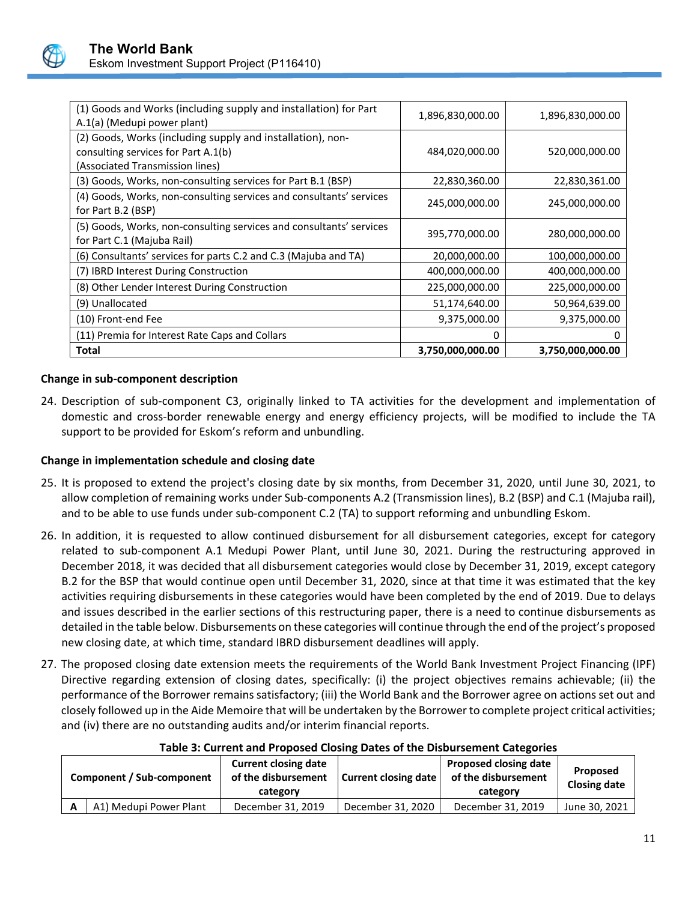

| (1) Goods and Works (including supply and installation) for Part<br>A.1(a) (Medupi power plant)   | 1,896,830,000.00 | 1,896,830,000.00 |
|---------------------------------------------------------------------------------------------------|------------------|------------------|
| (2) Goods, Works (including supply and installation), non-                                        |                  |                  |
| consulting services for Part A.1(b)                                                               | 484,020,000.00   | 520,000,000.00   |
| (Associated Transmission lines)                                                                   |                  |                  |
| (3) Goods, Works, non-consulting services for Part B.1 (BSP)                                      | 22,830,360.00    | 22,830,361.00    |
| (4) Goods, Works, non-consulting services and consultants' services<br>for Part B.2 (BSP)         | 245,000,000.00   | 245,000,000.00   |
| (5) Goods, Works, non-consulting services and consultants' services<br>for Part C.1 (Majuba Rail) | 395,770,000.00   | 280,000,000.00   |
| (6) Consultants' services for parts C.2 and C.3 (Majuba and TA)                                   | 20,000,000.00    | 100,000,000.00   |
| (7) IBRD Interest During Construction                                                             | 400,000,000.00   | 400,000,000.00   |
| (8) Other Lender Interest During Construction                                                     | 225,000,000.00   | 225,000,000.00   |
| (9) Unallocated                                                                                   | 51,174,640.00    | 50,964,639.00    |
| (10) Front-end Fee                                                                                | 9,375,000.00     | 9,375,000.00     |
| (11) Premia for Interest Rate Caps and Collars                                                    |                  |                  |
| Total                                                                                             | 3,750,000,000.00 | 3,750,000,000.00 |

## **Change in sub-component description**

24. Description of sub-component C3, originally linked to TA activities for the development and implementation of domestic and cross-border renewable energy and energy efficiency projects, will be modified to include the TA support to be provided for Eskom's reform and unbundling.

## **Change in implementation schedule and closing date**

- 25. It is proposed to extend the project's closing date by six months, from December 31, 2020, until June 30, 2021, to allow completion of remaining works under Sub-components A.2 (Transmission lines), B.2 (BSP) and C.1 (Majuba rail), and to be able to use funds under sub-component C.2 (TA) to support reforming and unbundling Eskom.
- 26. In addition, it is requested to allow continued disbursement for all disbursement categories, except for category related to sub-component A.1 Medupi Power Plant, until June 30, 2021. During the restructuring approved in December 2018, it was decided that all disbursement categories would close by December 31, 2019, except category B.2 for the BSP that would continue open until December 31, 2020, since at that time it was estimated that the key activities requiring disbursements in these categories would have been completed by the end of 2019. Due to delays and issues described in the earlier sections of this restructuring paper, there is a need to continue disbursements as detailed in the table below. Disbursements on these categories will continue through the end of the project's proposed new closing date, at which time, standard IBRD disbursement deadlines will apply.
- 27. The proposed closing date extension meets the requirements of the World Bank Investment Project Financing (IPF) Directive regarding extension of closing dates, specifically: (i) the project objectives remains achievable; (ii) the performance of the Borrower remains satisfactory; (iii) the World Bank and the Borrower agree on actions set out and closely followed up in the Aide Memoire that will be undertaken by the Borrower to complete project critical activities; and (iv) there are no outstanding audits and/or interim financial reports.

| Component / Sub-component | <b>Current closing date</b><br>of the disbursement<br>category | Current closing date | <b>Proposed closing date</b><br>of the disbursement<br>category | Proposed<br><b>Closing date</b> |
|---------------------------|----------------------------------------------------------------|----------------------|-----------------------------------------------------------------|---------------------------------|
| A1) Medupi Power Plant    | December 31, 2019                                              | December 31, 2020    | December 31, 2019                                               | June 30, 2021                   |

## **Table 3: Current and Proposed Closing Dates of the Disbursement Categories**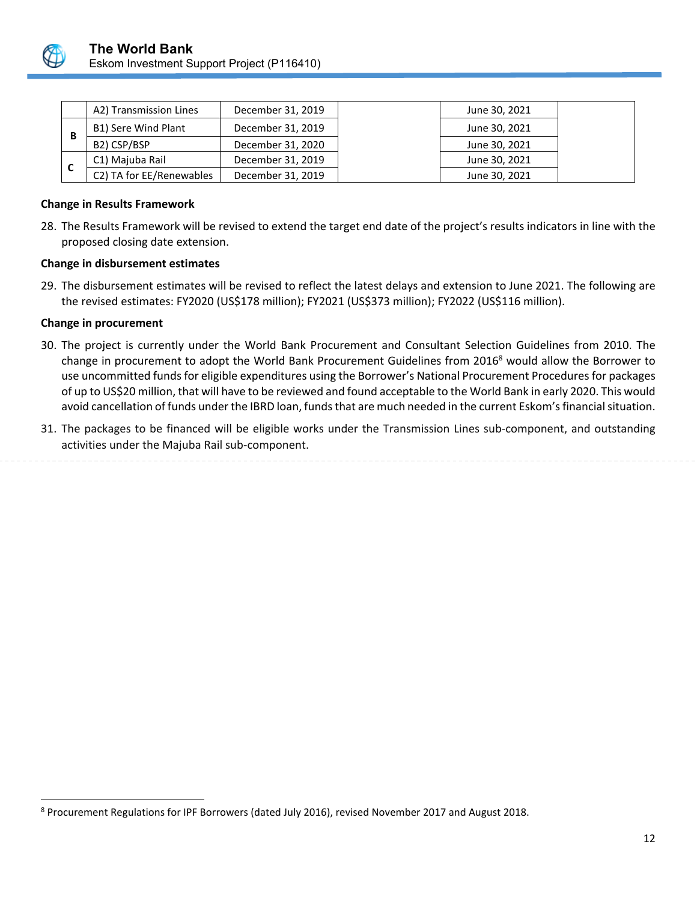

|   | A2) Transmission Lines   | December 31, 2019 | June 30, 2021 |  |
|---|--------------------------|-------------------|---------------|--|
| B | B1) Sere Wind Plant      | December 31, 2019 | June 30, 2021 |  |
|   | B2) CSP/BSP              | December 31, 2020 | June 30, 2021 |  |
|   | C1) Majuba Rail          | December 31, 2019 | June 30, 2021 |  |
|   | C2) TA for EE/Renewables | December 31, 2019 | June 30, 2021 |  |

### **Change in Results Framework**

28. The Results Framework will be revised to extend the target end date of the project's results indicators in line with the proposed closing date extension.

#### **Change in disbursement estimates**

29. The disbursement estimates will be revised to reflect the latest delays and extension to June 2021. The following are the revised estimates: FY2020 (US\$178 million); FY2021 (US\$373 million); FY2022 (US\$116 million).

### **Change in procurement**

- 30. The project is currently under the World Bank Procurement and Consultant Selection Guidelines from 2010. The change in procurement to adopt the World Bank Procurement Guidelines from 2016<sup>8</sup> would allow the Borrower to use uncommitted funds for eligible expenditures using the Borrower's National Procurement Procedures for packages of up to US\$20 million, that will have to be reviewed and found acceptable to the World Bank in early 2020. This would avoid cancellation of funds under the IBRD loan, funds that are much needed in the current Eskom's financial situation.
- 31. The packages to be financed will be eligible works under the Transmission Lines sub-component, and outstanding activities under the Majuba Rail sub-component.

<sup>8</sup> Procurement Regulations for IPF Borrowers (dated July 2016), revised November 2017 and August 2018.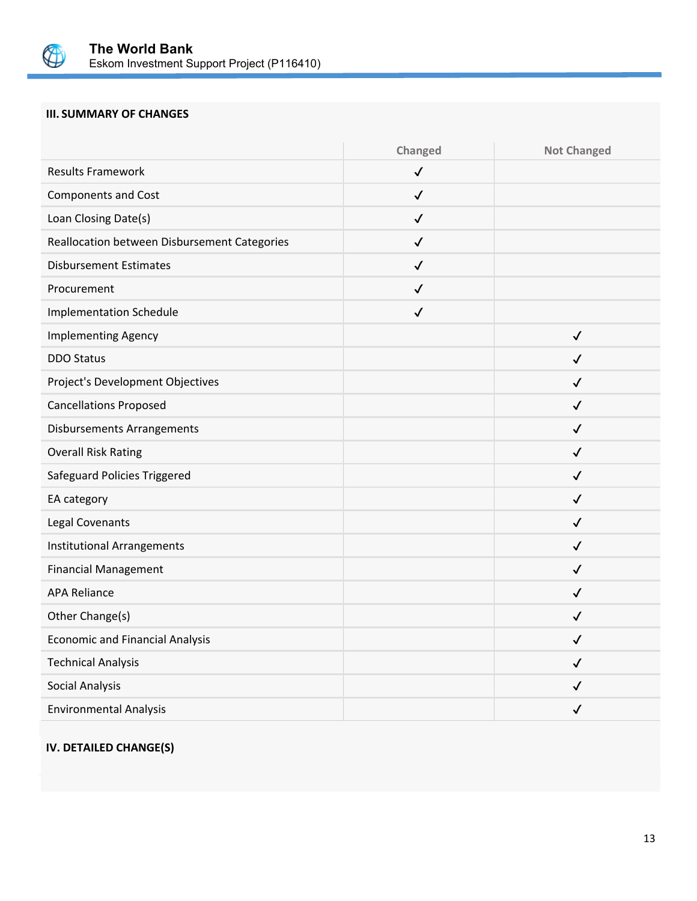

# **III. SUMMARY OF CHANGES**

|                                              | Changed      | <b>Not Changed</b> |
|----------------------------------------------|--------------|--------------------|
| <b>Results Framework</b>                     | $\checkmark$ |                    |
| Components and Cost                          | $\checkmark$ |                    |
| Loan Closing Date(s)                         | $\checkmark$ |                    |
| Reallocation between Disbursement Categories | $\checkmark$ |                    |
| <b>Disbursement Estimates</b>                | $\checkmark$ |                    |
| Procurement                                  | $\checkmark$ |                    |
| <b>Implementation Schedule</b>               | $\checkmark$ |                    |
| <b>Implementing Agency</b>                   |              | $\checkmark$       |
| <b>DDO Status</b>                            |              | $\checkmark$       |
| Project's Development Objectives             |              | $\checkmark$       |
| <b>Cancellations Proposed</b>                |              | $\checkmark$       |
| <b>Disbursements Arrangements</b>            |              | $\checkmark$       |
| <b>Overall Risk Rating</b>                   |              | $\checkmark$       |
| Safeguard Policies Triggered                 |              | $\checkmark$       |
| EA category                                  |              | $\checkmark$       |
| Legal Covenants                              |              | ✓                  |
| Institutional Arrangements                   |              | $\checkmark$       |
| <b>Financial Management</b>                  |              | $\checkmark$       |
| <b>APA Reliance</b>                          |              | $\checkmark$       |
| Other Change(s)                              |              | $\checkmark$       |
| <b>Economic and Financial Analysis</b>       |              | $\checkmark$       |
| <b>Technical Analysis</b>                    |              | $\checkmark$       |
| <b>Social Analysis</b>                       |              | $\checkmark$       |
| <b>Environmental Analysis</b>                |              | $\checkmark$       |

**IV. DETAILED CHANGE(S)**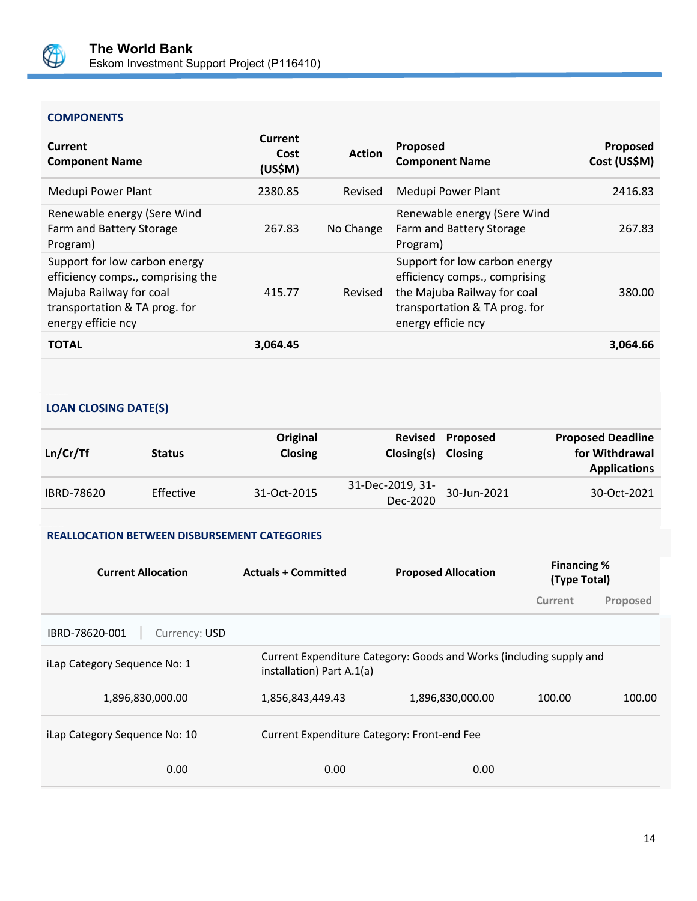

# **COMPONENTS**

| Current<br><b>Component Name</b>                                                                                                                     | Current<br>Cost<br>(US\$M) | <b>Action</b> | Proposed<br><b>Component Name</b>                                                                                                                    | <b>Proposed</b><br>Cost (US\$M) |
|------------------------------------------------------------------------------------------------------------------------------------------------------|----------------------------|---------------|------------------------------------------------------------------------------------------------------------------------------------------------------|---------------------------------|
| Medupi Power Plant                                                                                                                                   | 2380.85                    | Revised       | Medupi Power Plant                                                                                                                                   | 2416.83                         |
| Renewable energy (Sere Wind<br>Farm and Battery Storage<br>Program)                                                                                  | 267.83                     | No Change     | Renewable energy (Sere Wind<br>Farm and Battery Storage<br>Program)                                                                                  | 267.83                          |
| Support for low carbon energy<br>efficiency comps., comprising the<br>Majuba Railway for coal<br>transportation & TA prog. for<br>energy efficie ncy | 415.77                     | Revised       | Support for low carbon energy<br>efficiency comps., comprising<br>the Majuba Railway for coal<br>transportation & TA prog. for<br>energy efficie ncy | 380.00                          |
| <b>TOTAL</b>                                                                                                                                         | 3,064.45                   |               |                                                                                                                                                      | 3,064.66                        |

# **LOAN CLOSING DATE(S)**

| Ln/Cr/Tf   | <b>Status</b>    | Original<br><b>Closing</b> | $\mathsf{Closing}(s)$        | Revised Proposed<br><b>Closing</b> | <b>Proposed Deadline</b><br>for Withdrawal<br><b>Applications</b> |
|------------|------------------|----------------------------|------------------------------|------------------------------------|-------------------------------------------------------------------|
| IBRD-78620 | <b>Effective</b> | 31-Oct-2015                | 31-Dec-2019, 31-<br>Dec-2020 | 30-Jun-2021                        | 30-Oct-2021                                                       |

#### **REALLOCATION BETWEEN DISBURSEMENT CATEGORIES**

| <b>Current Allocation</b>       | <b>Actuals + Committed</b>                  | <b>Proposed Allocation</b>                                          |         | <b>Financing %</b><br>(Type Total) |
|---------------------------------|---------------------------------------------|---------------------------------------------------------------------|---------|------------------------------------|
|                                 |                                             |                                                                     | Current | Proposed                           |
| IBRD-78620-001<br>Currency: USD |                                             |                                                                     |         |                                    |
| iLap Category Sequence No: 1    | installation) Part A.1(a)                   | Current Expenditure Category: Goods and Works (including supply and |         |                                    |
| 1,896,830,000.00                | 1,856,843,449.43                            | 1,896,830,000.00                                                    | 100.00  | 100.00                             |
| iLap Category Sequence No: 10   | Current Expenditure Category: Front-end Fee |                                                                     |         |                                    |
| 0.00                            | 0.00                                        | 0.00                                                                |         |                                    |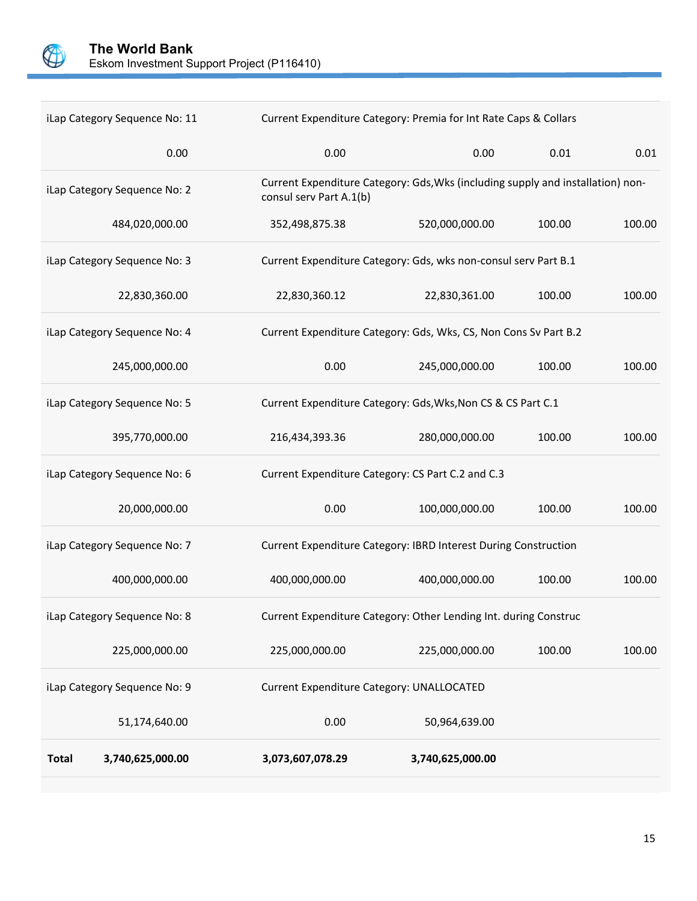

| iLap Category Sequence No: 11    | Current Expenditure Category: Premia for Int Rate Caps & Collars                                           |                  |        |        |
|----------------------------------|------------------------------------------------------------------------------------------------------------|------------------|--------|--------|
| 0.00                             | 0.00                                                                                                       | 0.00             | 0.01   | 0.01   |
| iLap Category Sequence No: 2     | Current Expenditure Category: Gds, Wks (including supply and installation) non-<br>consul serv Part A.1(b) |                  |        |        |
| 484,020,000.00                   | 352,498,875.38                                                                                             | 520,000,000.00   | 100.00 | 100.00 |
| iLap Category Sequence No: 3     | Current Expenditure Category: Gds, wks non-consul serv Part B.1                                            |                  |        |        |
| 22,830,360.00                    | 22,830,360.12                                                                                              | 22,830,361.00    | 100.00 | 100.00 |
| iLap Category Sequence No: 4     | Current Expenditure Category: Gds, Wks, CS, Non Cons Sv Part B.2                                           |                  |        |        |
| 245,000,000.00                   | 0.00                                                                                                       | 245,000,000.00   | 100.00 | 100.00 |
| iLap Category Sequence No: 5     | Current Expenditure Category: Gds, Wks, Non CS & CS Part C.1                                               |                  |        |        |
| 395,770,000.00                   | 216,434,393.36                                                                                             | 280,000,000.00   | 100.00 | 100.00 |
| iLap Category Sequence No: 6     | Current Expenditure Category: CS Part C.2 and C.3                                                          |                  |        |        |
| 20,000,000.00                    | 0.00                                                                                                       | 100,000,000.00   | 100.00 | 100.00 |
| iLap Category Sequence No: 7     | Current Expenditure Category: IBRD Interest During Construction                                            |                  |        |        |
| 400,000,000.00                   | 400,000,000.00                                                                                             | 400,000,000.00   | 100.00 | 100.00 |
| iLap Category Sequence No: 8     | Current Expenditure Category: Other Lending Int. during Construc                                           |                  |        |        |
| 225,000,000.00                   | 225,000,000.00                                                                                             | 225,000,000.00   | 100.00 | 100.00 |
| iLap Category Sequence No: 9     | Current Expenditure Category: UNALLOCATED                                                                  |                  |        |        |
| 51,174,640.00                    | 0.00                                                                                                       | 50,964,639.00    |        |        |
| <b>Total</b><br>3,740,625,000.00 | 3,073,607,078.29                                                                                           | 3,740,625,000.00 |        |        |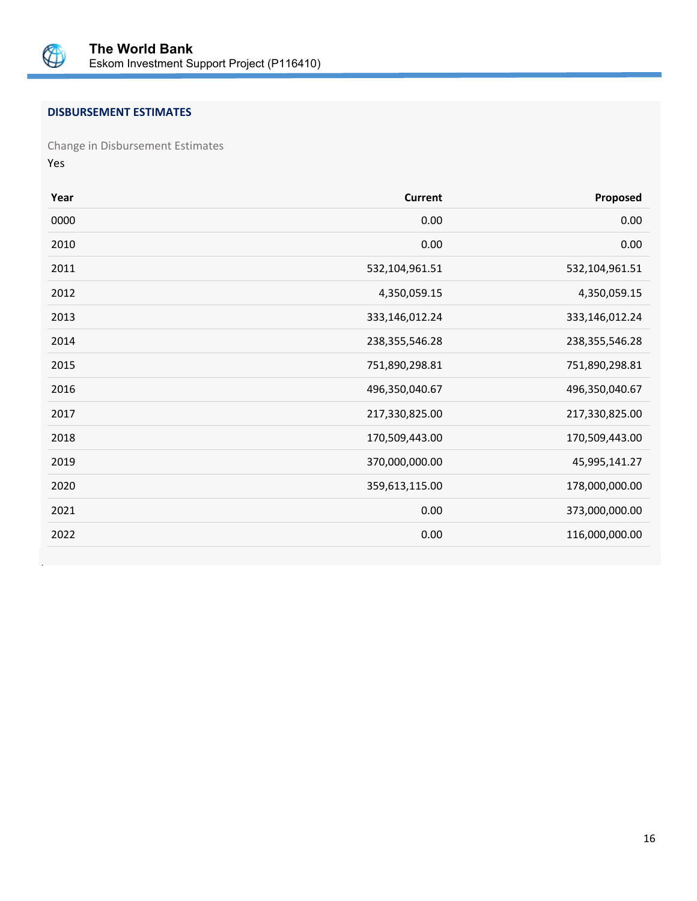

# **DISBURSEMENT ESTIMATES**

Change in Disbursement Estimates Yes

.

| Year | Current        | Proposed          |
|------|----------------|-------------------|
| 0000 | 0.00           | 0.00              |
| 2010 | 0.00           | 0.00              |
| 2011 | 532,104,961.51 | 532,104,961.51    |
| 2012 | 4,350,059.15   | 4,350,059.15      |
| 2013 | 333,146,012.24 | 333,146,012.24    |
| 2014 | 238,355,546.28 | 238, 355, 546. 28 |
| 2015 | 751,890,298.81 | 751,890,298.81    |
| 2016 | 496,350,040.67 | 496,350,040.67    |
| 2017 | 217,330,825.00 | 217,330,825.00    |
| 2018 | 170,509,443.00 | 170,509,443.00    |
| 2019 | 370,000,000.00 | 45,995,141.27     |
| 2020 | 359,613,115.00 | 178,000,000.00    |
| 2021 | 0.00           | 373,000,000.00    |
| 2022 | 0.00           | 116,000,000.00    |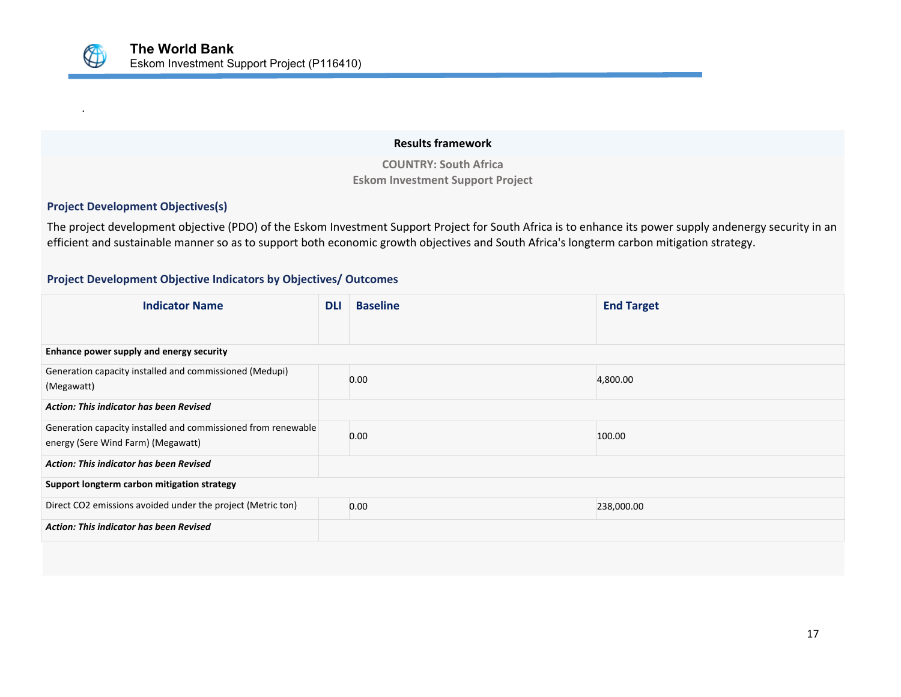

.

### **Results framework**

**COUNTRY: South Africa Eskom Investment Support Project**

# **Project Development Objectives(s)**

The project development objective (PDO) of the Eskom Investment Support Project for South Africa is to enhance its power supply andenergy security in an efficient and sustainable manner so as to support both economic growth objectives and South Africa's longterm carbon mitigation strategy.

# **Project Development Objective Indicators by Objectives/ Outcomes**

| <b>Indicator Name</b>                                                                               |  | <b>Baseline</b> | <b>End Target</b> |  |  |
|-----------------------------------------------------------------------------------------------------|--|-----------------|-------------------|--|--|
|                                                                                                     |  |                 |                   |  |  |
| Enhance power supply and energy security                                                            |  |                 |                   |  |  |
| Generation capacity installed and commissioned (Medupi)<br>(Megawatt)                               |  | 0.00            | 4,800.00          |  |  |
| <b>Action: This indicator has been Revised</b>                                                      |  |                 |                   |  |  |
| Generation capacity installed and commissioned from renewable<br>energy (Sere Wind Farm) (Megawatt) |  | 0.00            | 100.00            |  |  |
| <b>Action: This indicator has been Revised</b>                                                      |  |                 |                   |  |  |
| Support longterm carbon mitigation strategy                                                         |  |                 |                   |  |  |
| Direct CO2 emissions avoided under the project (Metric ton)                                         |  | 0.00            | 238,000.00        |  |  |
| <b>Action: This indicator has been Revised</b>                                                      |  |                 |                   |  |  |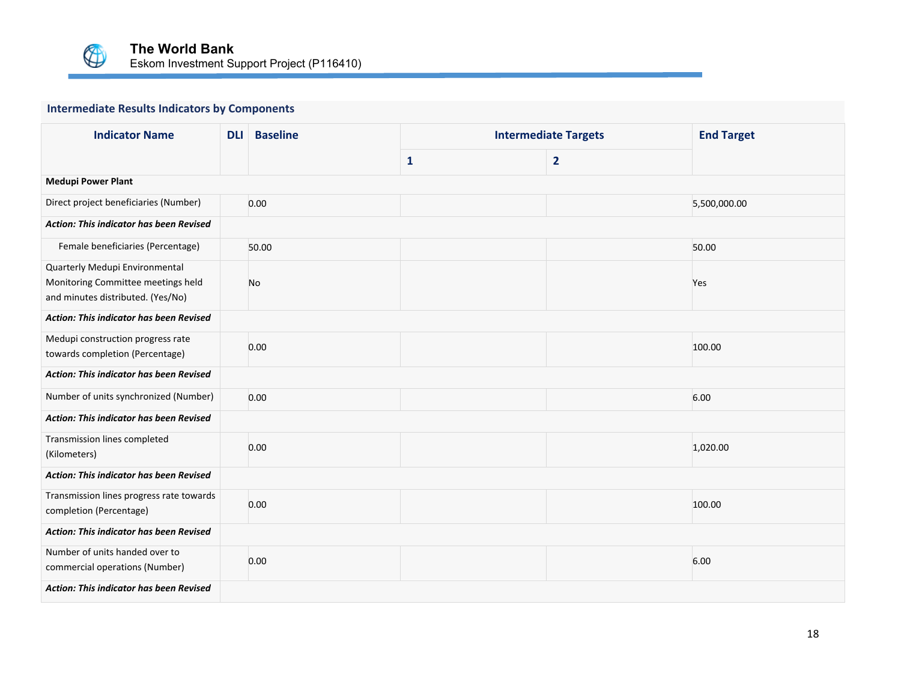

# **Intermediate Results Indicators by Components**

| <b>Indicator Name</b>                                                                                     | <b>DLI</b> | <b>Baseline</b><br><b>Intermediate Targets</b> |              | <b>End Target</b> |              |  |  |
|-----------------------------------------------------------------------------------------------------------|------------|------------------------------------------------|--------------|-------------------|--------------|--|--|
|                                                                                                           |            |                                                | $\mathbf{1}$ | $\overline{2}$    |              |  |  |
| <b>Medupi Power Plant</b>                                                                                 |            |                                                |              |                   |              |  |  |
| Direct project beneficiaries (Number)                                                                     |            | 0.00                                           |              |                   | 5,500,000.00 |  |  |
| <b>Action: This indicator has been Revised</b>                                                            |            |                                                |              |                   |              |  |  |
| Female beneficiaries (Percentage)                                                                         |            | 50.00                                          |              |                   | 50.00        |  |  |
| Quarterly Medupi Environmental<br>Monitoring Committee meetings held<br>and minutes distributed. (Yes/No) |            | No                                             |              |                   | Yes          |  |  |
| Action: This indicator has been Revised                                                                   |            |                                                |              |                   |              |  |  |
| Medupi construction progress rate<br>towards completion (Percentage)                                      |            | 0.00                                           |              |                   | 100.00       |  |  |
| Action: This indicator has been Revised                                                                   |            |                                                |              |                   |              |  |  |
| Number of units synchronized (Number)                                                                     |            | 0.00                                           |              |                   | 6.00         |  |  |
| Action: This indicator has been Revised                                                                   |            |                                                |              |                   |              |  |  |
| Transmission lines completed<br>(Kilometers)                                                              |            | 0.00                                           |              |                   | 1,020.00     |  |  |
| Action: This indicator has been Revised                                                                   |            |                                                |              |                   |              |  |  |
| Transmission lines progress rate towards<br>completion (Percentage)                                       |            | 0.00                                           |              |                   | 100.00       |  |  |
| Action: This indicator has been Revised                                                                   |            |                                                |              |                   |              |  |  |
| Number of units handed over to<br>commercial operations (Number)                                          |            | 0.00                                           |              |                   | 6.00         |  |  |
| Action: This indicator has been Revised                                                                   |            |                                                |              |                   |              |  |  |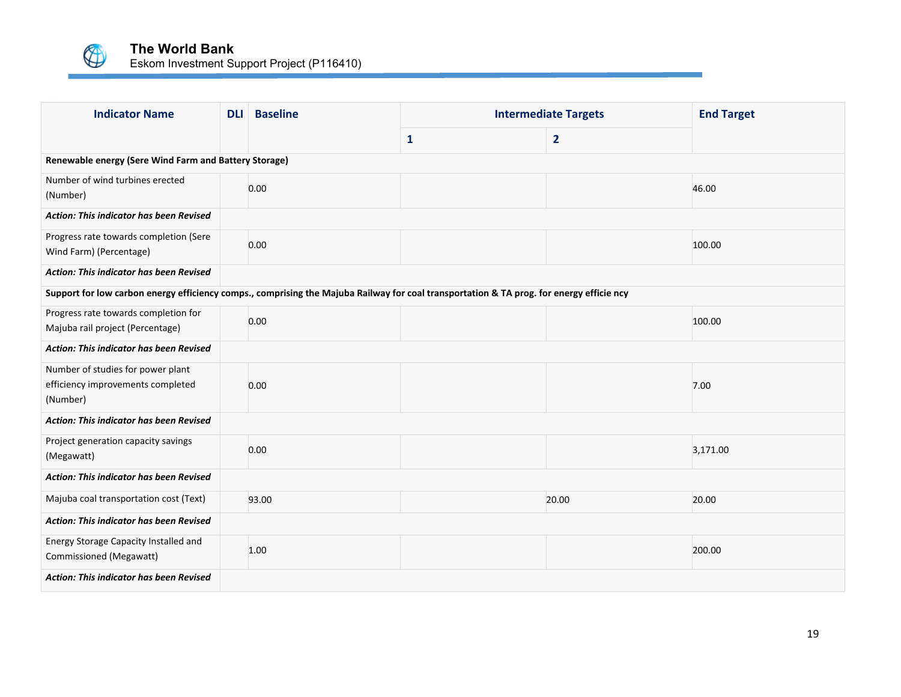

| <b>Indicator Name</b><br><b>DLI</b>                                                                                                      |  | <b>Baseline</b> | <b>Intermediate Targets</b> | <b>End Target</b> |          |  |  |  |
|------------------------------------------------------------------------------------------------------------------------------------------|--|-----------------|-----------------------------|-------------------|----------|--|--|--|
|                                                                                                                                          |  |                 | $\mathbf{1}$                | $\overline{2}$    |          |  |  |  |
| Renewable energy (Sere Wind Farm and Battery Storage)                                                                                    |  |                 |                             |                   |          |  |  |  |
| Number of wind turbines erected<br>(Number)                                                                                              |  | 0.00            |                             |                   | 46.00    |  |  |  |
| <b>Action: This indicator has been Revised</b>                                                                                           |  |                 |                             |                   |          |  |  |  |
| Progress rate towards completion (Sere<br>Wind Farm) (Percentage)                                                                        |  | 0.00            |                             |                   | 100.00   |  |  |  |
| <b>Action: This indicator has been Revised</b>                                                                                           |  |                 |                             |                   |          |  |  |  |
| Support for low carbon energy efficiency comps., comprising the Majuba Railway for coal transportation & TA prog. for energy efficie ncy |  |                 |                             |                   |          |  |  |  |
| Progress rate towards completion for<br>Majuba rail project (Percentage)                                                                 |  | 0.00            |                             |                   | 100.00   |  |  |  |
| <b>Action: This indicator has been Revised</b>                                                                                           |  |                 |                             |                   |          |  |  |  |
| Number of studies for power plant<br>efficiency improvements completed<br>(Number)                                                       |  | 0.00            |                             |                   | 7.00     |  |  |  |
| <b>Action: This indicator has been Revised</b>                                                                                           |  |                 |                             |                   |          |  |  |  |
| Project generation capacity savings<br>(Megawatt)                                                                                        |  | 0.00            |                             |                   | 3,171.00 |  |  |  |
| <b>Action: This indicator has been Revised</b>                                                                                           |  |                 |                             |                   |          |  |  |  |
| Majuba coal transportation cost (Text)                                                                                                   |  | 93.00           |                             | 20.00             | 20.00    |  |  |  |
| Action: This indicator has been Revised                                                                                                  |  |                 |                             |                   |          |  |  |  |
| Energy Storage Capacity Installed and<br>Commissioned (Megawatt)                                                                         |  | 1.00            |                             |                   | 200.00   |  |  |  |
| <b>Action: This indicator has been Revised</b>                                                                                           |  |                 |                             |                   |          |  |  |  |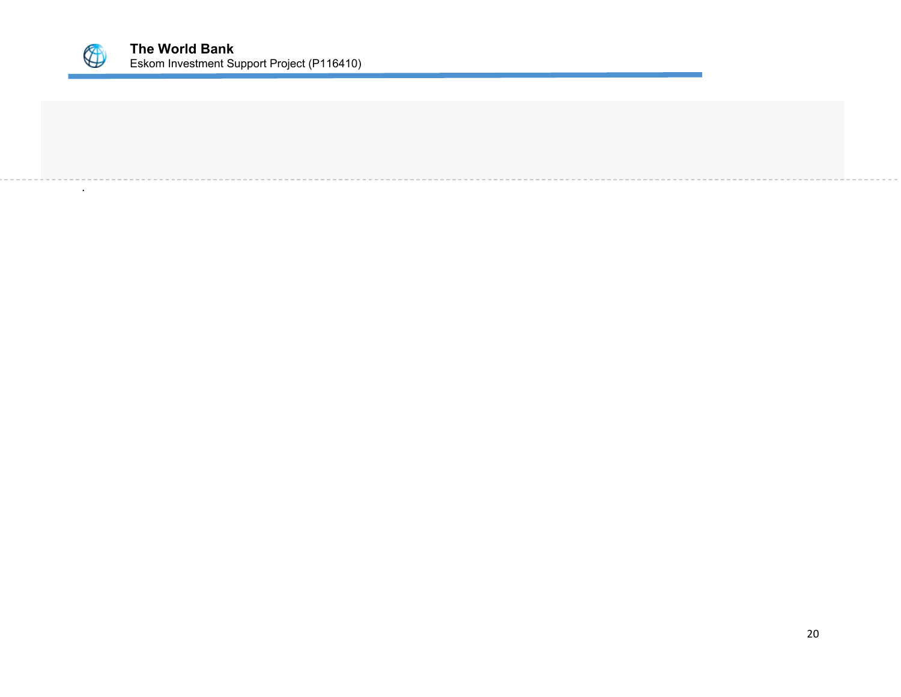

.